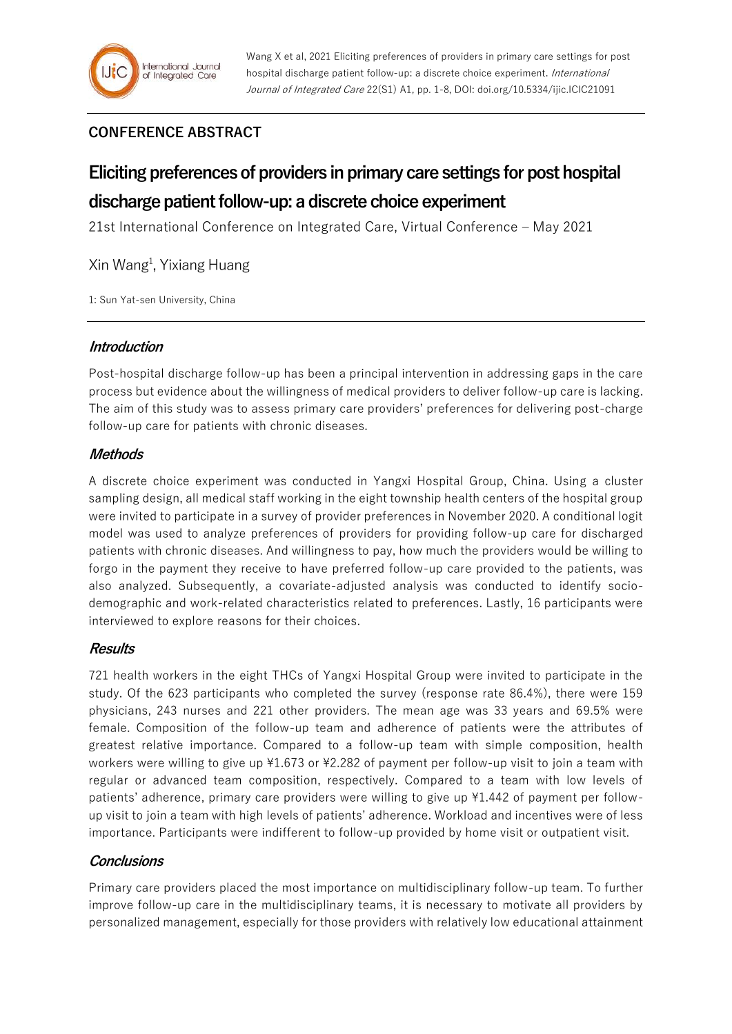# **CONFERENCE ABSTRACT**

# **Eliciting preferences of providers in primary care settings for post hospital discharge patient follow-up: a discrete choice experiment**

21st International Conference on Integrated Care, Virtual Conference – May 2021

Xin Wang<sup>1</sup>, Yixiang Huang

1: Sun Yat-sen University, China

### **Introduction**

Post-hospital discharge follow-up has been a principal intervention in addressing gaps in the care process but evidence about the willingness of medical providers to deliver follow-up care is lacking. The aim of this study was to assess primary care providers' preferences for delivering post-charge follow-up care for patients with chronic diseases.

### **Methods**

A discrete choice experiment was conducted in Yangxi Hospital Group, China. Using a cluster sampling design, all medical staff working in the eight township health centers of the hospital group were invited to participate in a survey of provider preferences in November 2020. A conditional logit model was used to analyze preferences of providers for providing follow-up care for discharged patients with chronic diseases. And willingness to pay, how much the providers would be willing to forgo in the payment they receive to have preferred follow-up care provided to the patients, was also analyzed. Subsequently, a covariate-adjusted analysis was conducted to identify sociodemographic and work-related characteristics related to preferences. Lastly, 16 participants were interviewed to explore reasons for their choices.

## **Results**

721 health workers in the eight THCs of Yangxi Hospital Group were invited to participate in the study. Of the 623 participants who completed the survey (response rate 86.4%), there were 159 physicians, 243 nurses and 221 other providers. The mean age was 33 years and 69.5% were female. Composition of the follow-up team and adherence of patients were the attributes of greatest relative importance. Compared to a follow-up team with simple composition, health workers were willing to give up ¥1.673 or ¥2.282 of payment per follow-up visit to join a team with regular or advanced team composition, respectively. Compared to a team with low levels of patients' adherence, primary care providers were willing to give up ¥1.442 of payment per followup visit to join a team with high levels of patients' adherence. Workload and incentives were of less importance. Participants were indifferent to follow-up provided by home visit or outpatient visit.

## **Conclusions**

Primary care providers placed the most importance on multidisciplinary follow-up team. To further improve follow-up care in the multidisciplinary teams, it is necessary to motivate all providers by personalized management, especially for those providers with relatively low educational attainment